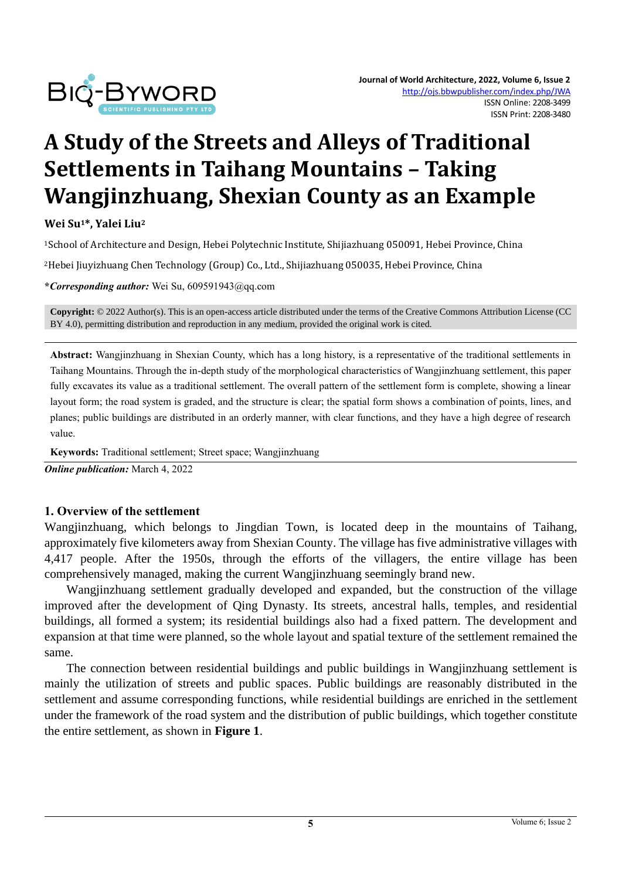

# **A Study of the Streets and Alleys of Traditional Settlements in Taihang Mountains – Taking Wangjinzhuang, Shexian County as an Example**

**Wei Su1\*, Yalei Liu<sup>2</sup>**

<sup>1</sup>School of Architecture and Design, Hebei Polytechnic Institute, Shijiazhuang 050091, Hebei Province, China

<sup>2</sup>Hebei Jiuyizhuang Chen Technology (Group) Co., Ltd., Shijiazhuang 050035, Hebei Province, China

**\****Corresponding author:* Wei Su, 609591943@qq.com

**Copyright:** © 2022 Author(s). This is an open-access article distributed under the terms of th[e Creative Commons Attribution License \(CC](https://creativecommons.org/licenses/by/4.0/)  [BY 4.0\),](https://creativecommons.org/licenses/by/4.0/) permitting distribution and reproduction in any medium, provided the original work is cited.

**Abstract:** Wangjinzhuang in Shexian County, which has a long history, is a representative of the traditional settlements in Taihang Mountains. Through the in-depth study of the morphological characteristics of Wangjinzhuang settlement, this paper fully excavates its value as a traditional settlement. The overall pattern of the settlement form is complete, showing a linear layout form; the road system is graded, and the structure is clear; the spatial form shows a combination of points, lines, and planes; public buildings are distributed in an orderly manner, with clear functions, and they have a high degree of research value.

**Keywords:** Traditional settlement; Street space; Wangjinzhuang

*Online publication:* March 4, 2022

#### **1. Overview of the settlement**

Wangjinzhuang, which belongs to Jingdian Town, is located deep in the mountains of Taihang, approximately five kilometers away from Shexian County. The village has five administrative villages with 4,417 people. After the 1950s, through the efforts of the villagers, the entire village has been comprehensively managed, making the current Wangjinzhuang seemingly brand new.

Wangjinzhuang settlement gradually developed and expanded, but the construction of the village improved after the development of Qing Dynasty. Its streets, ancestral halls, temples, and residential buildings, all formed a system; its residential buildings also had a fixed pattern. The development and expansion at that time were planned, so the whole layout and spatial texture of the settlement remained the same.

The connection between residential buildings and public buildings in Wangjinzhuang settlement is mainly the utilization of streets and public spaces. Public buildings are reasonably distributed in the settlement and assume corresponding functions, while residential buildings are enriched in the settlement under the framework of the road system and the distribution of public buildings, which together constitute the entire settlement, as shown in **Figure 1**.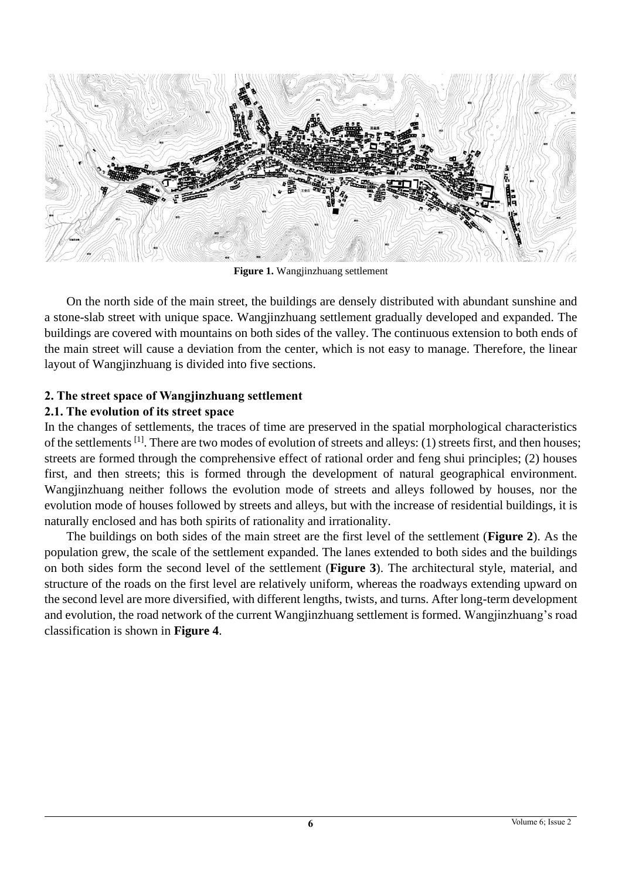

**Figure 1.** Wangjinzhuang settlement

On the north side of the main street, the buildings are densely distributed with abundant sunshine and a stone-slab street with unique space. Wangjinzhuang settlement gradually developed and expanded. The buildings are covered with mountains on both sides of the valley. The continuous extension to both ends of the main street will cause a deviation from the center, which is not easy to manage. Therefore, the linear layout of Wangjinzhuang is divided into five sections.

### **2. The street space of Wangjinzhuang settlement**

#### **2.1. The evolution of its street space**

In the changes of settlements, the traces of time are preserved in the spatial morphological characteristics of the settlements [1]. There are two modes of evolution of streets and alleys: (1) streets first, and then houses; streets are formed through the comprehensive effect of rational order and feng shui principles; (2) houses first, and then streets; this is formed through the development of natural geographical environment. Wangjinzhuang neither follows the evolution mode of streets and alleys followed by houses, nor the evolution mode of houses followed by streets and alleys, but with the increase of residential buildings, it is naturally enclosed and has both spirits of rationality and irrationality.

The buildings on both sides of the main street are the first level of the settlement (**Figure 2**). As the population grew, the scale of the settlement expanded. The lanes extended to both sides and the buildings on both sides form the second level of the settlement (**Figure 3**). The architectural style, material, and structure of the roads on the first level are relatively uniform, whereas the roadways extending upward on the second level are more diversified, with different lengths, twists, and turns. After long-term development and evolution, the road network of the current Wangjinzhuang settlement is formed. Wangjinzhuang's road classification is shown in **Figure 4**.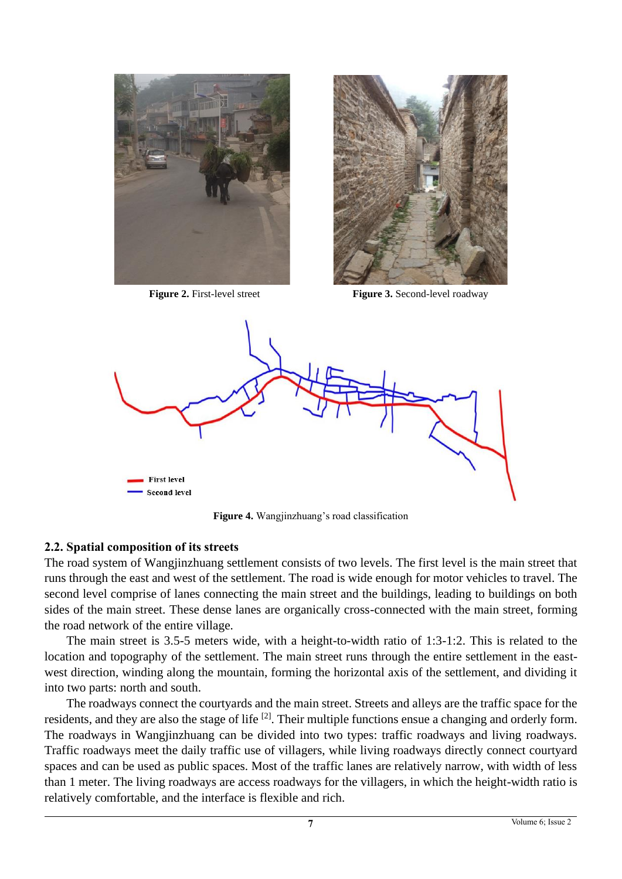



**Figure 2.** First-level street **Figure 3.** Second-level roadway



**Figure 4.** Wangjinzhuang's road classification

#### **2.2. Spatial composition of its streets**

The road system of Wangjinzhuang settlement consists of two levels. The first level is the main street that runs through the east and west of the settlement. The road is wide enough for motor vehicles to travel. The second level comprise of lanes connecting the main street and the buildings, leading to buildings on both sides of the main street. These dense lanes are organically cross-connected with the main street, forming the road network of the entire village.

The main street is 3.5-5 meters wide, with a height-to-width ratio of 1:3-1:2. This is related to the location and topography of the settlement. The main street runs through the entire settlement in the eastwest direction, winding along the mountain, forming the horizontal axis of the settlement, and dividing it into two parts: north and south.

The roadways connect the courtyards and the main street. Streets and alleys are the traffic space for the residents, and they are also the stage of life <sup>[2]</sup>. Their multiple functions ensue a changing and orderly form. The roadways in Wangjinzhuang can be divided into two types: traffic roadways and living roadways. Traffic roadways meet the daily traffic use of villagers, while living roadways directly connect courtyard spaces and can be used as public spaces. Most of the traffic lanes are relatively narrow, with width of less than 1 meter. The living roadways are access roadways for the villagers, in which the height-width ratio is relatively comfortable, and the interface is flexible and rich.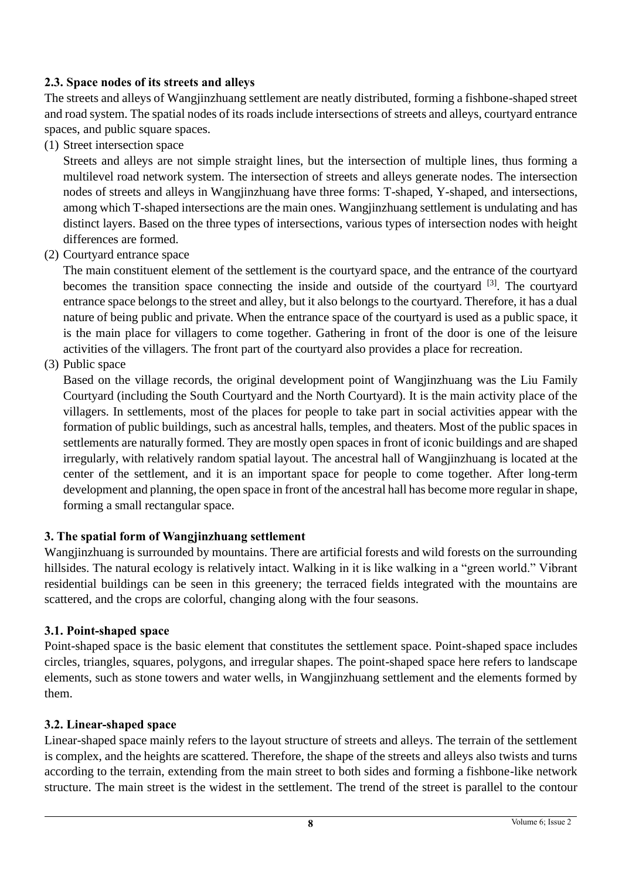## **2.3. Space nodes of its streets and alleys**

The streets and alleys of Wangjinzhuang settlement are neatly distributed, forming a fishbone-shaped street and road system. The spatial nodes of its roads include intersections of streets and alleys, courtyard entrance spaces, and public square spaces.

(1) Street intersection space

Streets and alleys are not simple straight lines, but the intersection of multiple lines, thus forming a multilevel road network system. The intersection of streets and alleys generate nodes. The intersection nodes of streets and alleys in Wangjinzhuang have three forms: T-shaped, Y-shaped, and intersections, among which T-shaped intersections are the main ones. Wangjinzhuang settlement is undulating and has distinct layers. Based on the three types of intersections, various types of intersection nodes with height differences are formed.

(2) Courtyard entrance space

The main constituent element of the settlement is the courtyard space, and the entrance of the courtyard becomes the transition space connecting the inside and outside of the courtyard  $[3]$ . The courtyard entrance space belongs to the street and alley, but it also belongs to the courtyard. Therefore, it has a dual nature of being public and private. When the entrance space of the courtyard is used as a public space, it is the main place for villagers to come together. Gathering in front of the door is one of the leisure activities of the villagers. The front part of the courtyard also provides a place for recreation.

(3) Public space

Based on the village records, the original development point of Wangjinzhuang was the Liu Family Courtyard (including the South Courtyard and the North Courtyard). It is the main activity place of the villagers. In settlements, most of the places for people to take part in social activities appear with the formation of public buildings, such as ancestral halls, temples, and theaters. Most of the public spaces in settlements are naturally formed. They are mostly open spaces in front of iconic buildings and are shaped irregularly, with relatively random spatial layout. The ancestral hall of Wangjinzhuang is located at the center of the settlement, and it is an important space for people to come together. After long-term development and planning, the open space in front of the ancestral hall has become more regular in shape, forming a small rectangular space.

## **3. The spatial form of Wangjinzhuang settlement**

Wangjinzhuang is surrounded by mountains. There are artificial forests and wild forests on the surrounding hillsides. The natural ecology is relatively intact. Walking in it is like walking in a "green world." Vibrant residential buildings can be seen in this greenery; the terraced fields integrated with the mountains are scattered, and the crops are colorful, changing along with the four seasons.

## **3.1. Point-shaped space**

Point-shaped space is the basic element that constitutes the settlement space. Point-shaped space includes circles, triangles, squares, polygons, and irregular shapes. The point-shaped space here refers to landscape elements, such as stone towers and water wells, in Wangjinzhuang settlement and the elements formed by them.

## **3.2. Linear-shaped space**

Linear-shaped space mainly refers to the layout structure of streets and alleys. The terrain of the settlement is complex, and the heights are scattered. Therefore, the shape of the streets and alleys also twists and turns according to the terrain, extending from the main street to both sides and forming a fishbone-like network structure. The main street is the widest in the settlement. The trend of the street is parallel to the contour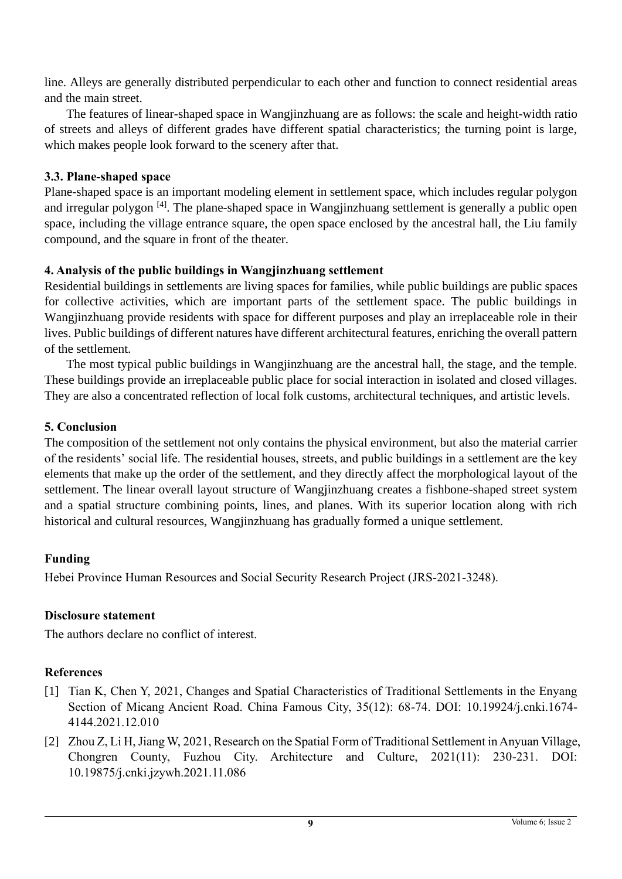line. Alleys are generally distributed perpendicular to each other and function to connect residential areas and the main street.

The features of linear-shaped space in Wangjinzhuang are as follows: the scale and height-width ratio of streets and alleys of different grades have different spatial characteristics; the turning point is large, which makes people look forward to the scenery after that.

## **3.3. Plane-shaped space**

Plane-shaped space is an important modeling element in settlement space, which includes regular polygon and irregular polygon <sup>[4]</sup>. The plane-shaped space in Wangjinzhuang settlement is generally a public open space, including the village entrance square, the open space enclosed by the ancestral hall, the Liu family compound, and the square in front of the theater.

## **4. Analysis of the public buildings in Wangjinzhuang settlement**

Residential buildings in settlements are living spaces for families, while public buildings are public spaces for collective activities, which are important parts of the settlement space. The public buildings in Wangjinzhuang provide residents with space for different purposes and play an irreplaceable role in their lives. Public buildings of different natures have different architectural features, enriching the overall pattern of the settlement.

The most typical public buildings in Wangjinzhuang are the ancestral hall, the stage, and the temple. These buildings provide an irreplaceable public place for social interaction in isolated and closed villages. They are also a concentrated reflection of local folk customs, architectural techniques, and artistic levels.

#### **5. Conclusion**

The composition of the settlement not only contains the physical environment, but also the material carrier of the residents' social life. The residential houses, streets, and public buildings in a settlement are the key elements that make up the order of the settlement, and they directly affect the morphological layout of the settlement. The linear overall layout structure of Wangjinzhuang creates a fishbone-shaped street system and a spatial structure combining points, lines, and planes. With its superior location along with rich historical and cultural resources, Wangjinzhuang has gradually formed a unique settlement.

#### **Funding**

Hebei Province Human Resources and Social Security Research Project (JRS-2021-3248).

#### **Disclosure statement**

The authors declare no conflict of interest.

## **References**

- [1] Tian K, Chen Y, 2021, Changes and Spatial Characteristics of Traditional Settlements in the Enyang Section of Micang Ancient Road. China Famous City, 35(12): 68-74. DOI: 10.19924/j.cnki.1674- 4144.2021.12.010
- [2] Zhou Z, Li H, Jiang W, 2021, Research on the Spatial Form of Traditional Settlement in Anyuan Village, Chongren County, Fuzhou City. Architecture and Culture, 2021(11): 230-231. DOI: 10.19875/j.cnki.jzywh.2021.11.086